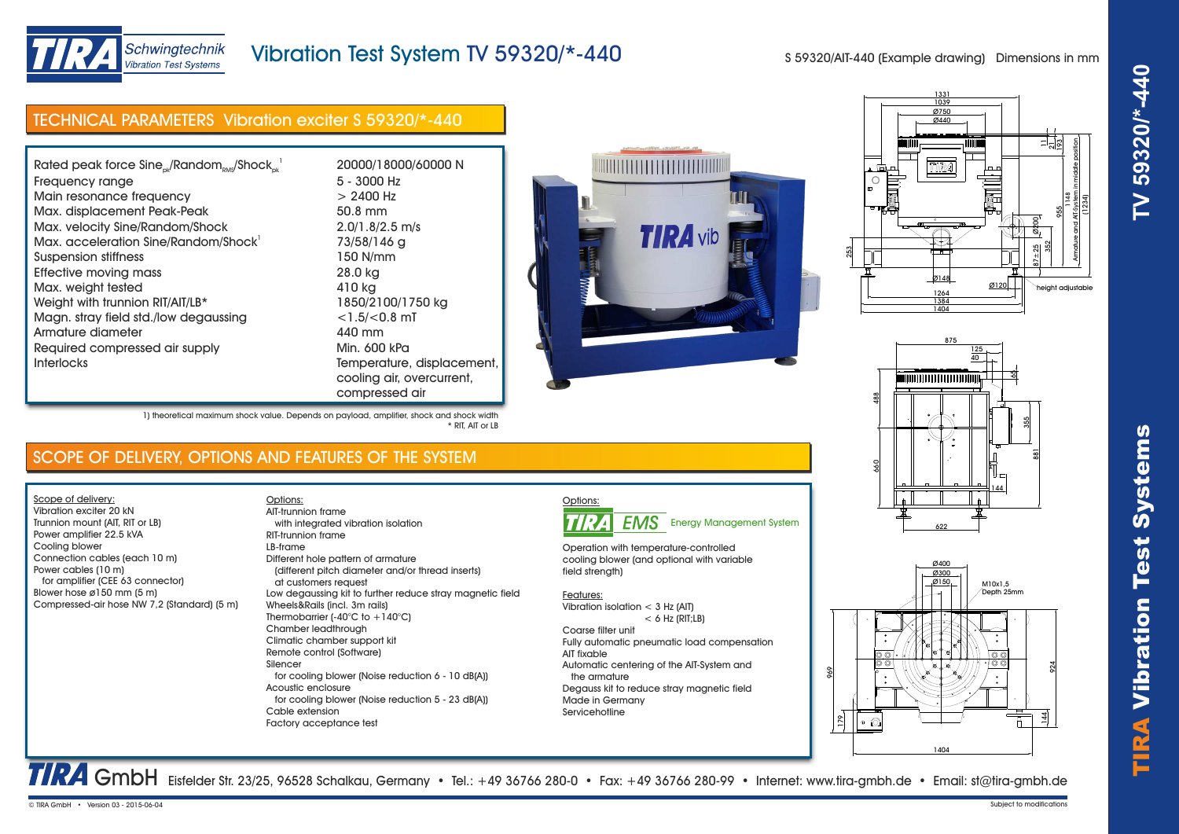



### Schwingtechnik **Vibration Test Systems**

## Vibration Test System TV 59320/\*-440

S 59320/AIT-440 (Example drawing) Dimensions in mm

# TECHNICAL PARAMETERS Vibration exciter S 59320/\*-440

| Rated peak force $Sine_{ok}/Random_{RMS}/Shock_{ck}^{-1}$ | 20000/18          |
|-----------------------------------------------------------|-------------------|
| Frequency range                                           | $5 - 3000$        |
| Main resonance frequency                                  | $> 2400$ $\vdash$ |
| Max. displacement Peak-Peak                               | 50.8 mm           |
| Max. velocity Sine/Random/Shock                           | 2.0/1.8/2         |
| Max. acceleration Sine/Random/Shock'                      | 73/58/14          |
| Suspension stiffness                                      | 150 N/mr          |
| Effective moving mass                                     | 28.0 kg           |
| Max. weight tested                                        | 410 kg            |
| Weight with trunnion RIT/AIT/LB*                          | 1850/210          |
| Magn. stray field std./low degaussing                     | $<$ 1.5/ $<$ 0    |
| Armature diameter                                         | 440 mm            |
| Required compressed air supply                            | Min. 600          |
| <b>Interlocks</b>                                         | Tempera           |
|                                                           | coolina c         |

20000/18000/60000 N  $5 - 3000$  Hz  $> 2400$  Hz  $2.0/1.8/2.5$  m/s 73/58/146 g 150 N/mm 1850/2100/1750 kg  $<$ 1.5/ $<$ 0.8 mT<br>440 mm Min. 600 kPa Temperature, displacement, cooling air, overcurrent, compressed air

\* RIT, AIT or LB







M10x1,5 Depth 25mm **Ø400** Ø300 Ø150 45°  $\frac{8}{1}$ 1404  $\frac{44}{4}$ 924 969

### SCOPE OF DELIVERY, OPTIONS AND FEATURES OF THE SYSTEM

1) theoretical maximum shock value. Depends on payload, amplifier, shock and shock width

Scope of delivery: Vibration exciter 20 kN Trunnion mount (AIT, RIT or LB) Power amplifier 22.5 kVA Cooling blower Connection cables (each 10 m) Power cables (10 m) for amplifier (CEE 63 connector) Blower hose ø150 mm (5 m) Compressed-air hose NW 7,2 (Standard) (5 m)

Options: with integrated vibration isolation RIT-trunnion frame LB-frame Different hole pattern of armature (different pitch diameter and/or thread inserts) at customers request Low degaussing kit to further reduce stray magnetic field Wheels&Rails (incl. 3m rails) Thermobarrier (-40°C to +140°C) Chamber leadthrough Climatic chamber support kit Remote control (Software) Silencer for cooling blower (Noise reduction 6 - 10 dB(A)) Acoustic enclosure for cooling blower (Noise reduction 5 - 23 dB(A)) Cable extension Factory acceptance test AIT-trunnion frame COOPE OF DELIVERY, OPITONS AND FEATURES OF THE SYSTEM<br>
SCOOPE OF DELIVERY, OPITONS AND FEATURES OF THE SYSTEM<br>
Norman montrications 23 - 2015-06-04 subject to model and the system of the system of the most control and th



Operation with temperature-controlled cooling blower (and optional with variable field strength)

#### Features:

Vibration isolation < 3 Hz (AIT)  $< 6$  Hz (RIT;  $\vert$  B) Coarse filter unit Fully automatic pneumatic load compensation AIT fixable Automatic centering of the AIT-System and the armature Degauss kit to reduce stray magnetic field

TRA GmbH Eisfelder Str. 23/25, 96528 Schalkau, Germany • Tel.: +49 36766 280-0 • Fax: +49 36766 280-99 • Internet: www.tira-gmbh.de • Email: st@tira-gmbh.de

Made in Germany Servicehotline